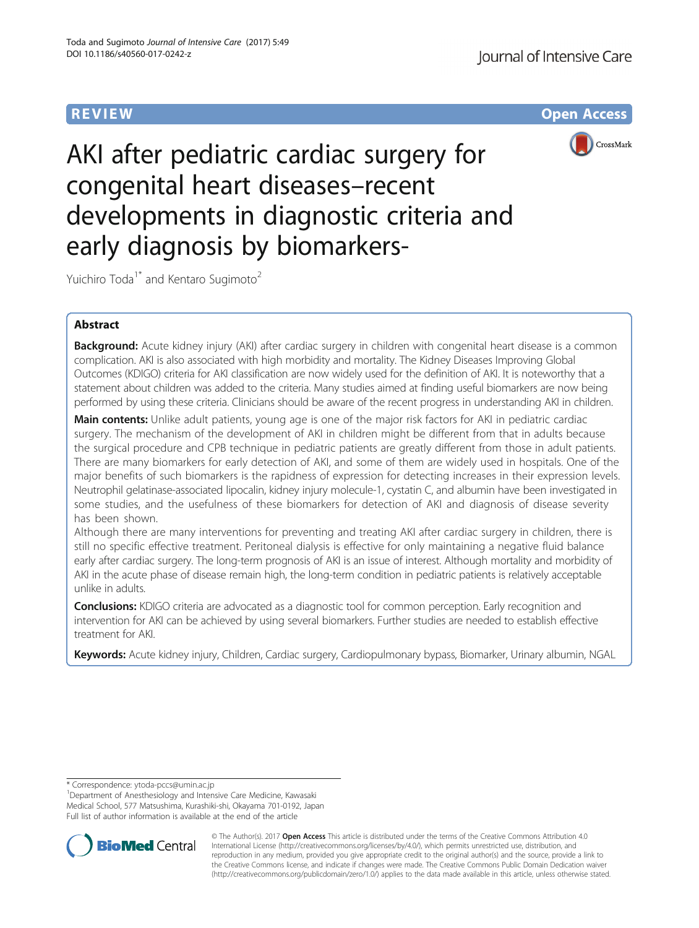**REVIEW ACCESS AND LOCAL CONTRACT CONTRACT OF ACCESS** 



AKI after pediatric cardiac surgery for congenital heart diseases–recent developments in diagnostic criteria and early diagnosis by biomarkers-

Yuichiro Toda<sup>1\*</sup> and Kentaro Sugimoto<sup>2</sup>

# Abstract

Background: Acute kidney injury (AKI) after cardiac surgery in children with congenital heart disease is a common complication. AKI is also associated with high morbidity and mortality. The Kidney Diseases Improving Global Outcomes (KDIGO) criteria for AKI classification are now widely used for the definition of AKI. It is noteworthy that a statement about children was added to the criteria. Many studies aimed at finding useful biomarkers are now being performed by using these criteria. Clinicians should be aware of the recent progress in understanding AKI in children.

**Main contents:** Unlike adult patients, young age is one of the major risk factors for AKI in pediatric cardiac surgery. The mechanism of the development of AKI in children might be different from that in adults because the surgical procedure and CPB technique in pediatric patients are greatly different from those in adult patients. There are many biomarkers for early detection of AKI, and some of them are widely used in hospitals. One of the major benefits of such biomarkers is the rapidness of expression for detecting increases in their expression levels. Neutrophil gelatinase-associated lipocalin, kidney injury molecule-1, cystatin C, and albumin have been investigated in some studies, and the usefulness of these biomarkers for detection of AKI and diagnosis of disease severity has been shown.

Although there are many interventions for preventing and treating AKI after cardiac surgery in children, there is still no specific effective treatment. Peritoneal dialysis is effective for only maintaining a negative fluid balance early after cardiac surgery. The long-term prognosis of AKI is an issue of interest. Although mortality and morbidity of AKI in the acute phase of disease remain high, the long-term condition in pediatric patients is relatively acceptable unlike in adults.

**Conclusions:** KDIGO criteria are advocated as a diagnostic tool for common perception. Early recognition and intervention for AKI can be achieved by using several biomarkers. Further studies are needed to establish effective treatment for AKI.

Keywords: Acute kidney injury, Children, Cardiac surgery, Cardiopulmonary bypass, Biomarker, Urinary albumin, NGAL

\* Correspondence: [ytoda-pccs@umin.ac.jp](mailto:ytoda-pccs@umin.ac.jp) <sup>1</sup>

<sup>1</sup>Department of Anesthesiology and Intensive Care Medicine, Kawasaki Medical School, 577 Matsushima, Kurashiki-shi, Okayama 701-0192, Japan Full list of author information is available at the end of the article



© The Author(s). 2017 **Open Access** This article is distributed under the terms of the Creative Commons Attribution 4.0 International License [\(http://creativecommons.org/licenses/by/4.0/](http://creativecommons.org/licenses/by/4.0/)), which permits unrestricted use, distribution, and reproduction in any medium, provided you give appropriate credit to the original author(s) and the source, provide a link to the Creative Commons license, and indicate if changes were made. The Creative Commons Public Domain Dedication waiver [\(http://creativecommons.org/publicdomain/zero/1.0/](http://creativecommons.org/publicdomain/zero/1.0/)) applies to the data made available in this article, unless otherwise stated.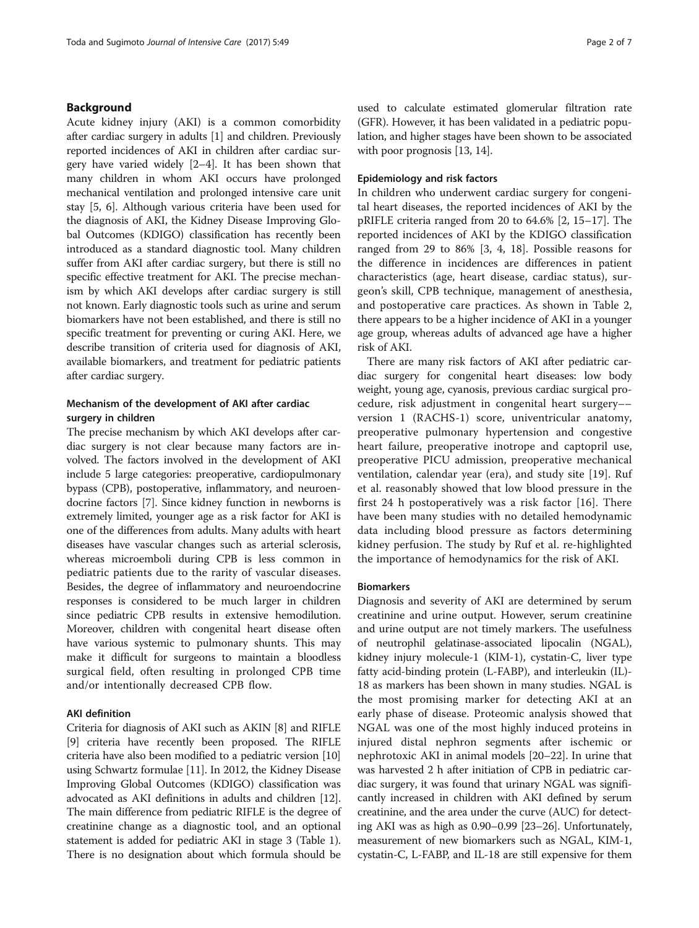## Background

Acute kidney injury (AKI) is a common comorbidity after cardiac surgery in adults [[1](#page-5-0)] and children. Previously reported incidences of AKI in children after cardiac surgery have varied widely [[2](#page-5-0)–[4](#page-5-0)]. It has been shown that many children in whom AKI occurs have prolonged mechanical ventilation and prolonged intensive care unit stay [\[5](#page-5-0), [6](#page-5-0)]. Although various criteria have been used for the diagnosis of AKI, the Kidney Disease Improving Global Outcomes (KDIGO) classification has recently been introduced as a standard diagnostic tool. Many children suffer from AKI after cardiac surgery, but there is still no specific effective treatment for AKI. The precise mechanism by which AKI develops after cardiac surgery is still not known. Early diagnostic tools such as urine and serum biomarkers have not been established, and there is still no specific treatment for preventing or curing AKI. Here, we describe transition of criteria used for diagnosis of AKI, available biomarkers, and treatment for pediatric patients after cardiac surgery.

## Mechanism of the development of AKI after cardiac surgery in children

The precise mechanism by which AKI develops after cardiac surgery is not clear because many factors are involved. The factors involved in the development of AKI include 5 large categories: preoperative, cardiopulmonary bypass (CPB), postoperative, inflammatory, and neuroendocrine factors [\[7](#page-5-0)]. Since kidney function in newborns is extremely limited, younger age as a risk factor for AKI is one of the differences from adults. Many adults with heart diseases have vascular changes such as arterial sclerosis, whereas microemboli during CPB is less common in pediatric patients due to the rarity of vascular diseases. Besides, the degree of inflammatory and neuroendocrine responses is considered to be much larger in children since pediatric CPB results in extensive hemodilution. Moreover, children with congenital heart disease often have various systemic to pulmonary shunts. This may make it difficult for surgeons to maintain a bloodless surgical field, often resulting in prolonged CPB time and/or intentionally decreased CPB flow.

### AKI definition

Criteria for diagnosis of AKI such as AKIN [[8\]](#page-5-0) and RIFLE [[9\]](#page-5-0) criteria have recently been proposed. The RIFLE criteria have also been modified to a pediatric version [[10](#page-5-0)] using Schwartz formulae [[11](#page-5-0)]. In 2012, the Kidney Disease Improving Global Outcomes (KDIGO) classification was advocated as AKI definitions in adults and children [[12](#page-5-0)]. The main difference from pediatric RIFLE is the degree of creatinine change as a diagnostic tool, and an optional statement is added for pediatric AKI in stage 3 (Table [1](#page-2-0)). There is no designation about which formula should be used to calculate estimated glomerular filtration rate (GFR). However, it has been validated in a pediatric population, and higher stages have been shown to be associated with poor prognosis [[13](#page-5-0), [14\]](#page-5-0).

## Epidemiology and risk factors

In children who underwent cardiac surgery for congenital heart diseases, the reported incidences of AKI by the pRIFLE criteria ranged from 20 to 64.6% [\[2](#page-5-0), [15](#page-5-0)–[17](#page-5-0)]. The reported incidences of AKI by the KDIGO classification ranged from 29 to 86% [\[3](#page-5-0), [4, 18\]](#page-5-0). Possible reasons for the difference in incidences are differences in patient characteristics (age, heart disease, cardiac status), surgeon's skill, CPB technique, management of anesthesia, and postoperative care practices. As shown in Table [2](#page-2-0), there appears to be a higher incidence of AKI in a younger age group, whereas adults of advanced age have a higher risk of AKI.

There are many risk factors of AKI after pediatric cardiac surgery for congenital heart diseases: low body weight, young age, cyanosis, previous cardiac surgical procedure, risk adjustment in congenital heart surgery–– version 1 (RACHS-1) score, univentricular anatomy, preoperative pulmonary hypertension and congestive heart failure, preoperative inotrope and captopril use, preoperative PICU admission, preoperative mechanical ventilation, calendar year (era), and study site [[19](#page-5-0)]. Ruf et al. reasonably showed that low blood pressure in the first 24 h postoperatively was a risk factor [\[16](#page-5-0)]. There have been many studies with no detailed hemodynamic data including blood pressure as factors determining kidney perfusion. The study by Ruf et al. re-highlighted the importance of hemodynamics for the risk of AKI.

## Biomarkers

Diagnosis and severity of AKI are determined by serum creatinine and urine output. However, serum creatinine and urine output are not timely markers. The usefulness of neutrophil gelatinase-associated lipocalin (NGAL), kidney injury molecule-1 (KIM-1), cystatin-C, liver type fatty acid-binding protein (L-FABP), and interleukin (IL)- 18 as markers has been shown in many studies. NGAL is the most promising marker for detecting AKI at an early phase of disease. Proteomic analysis showed that NGAL was one of the most highly induced proteins in injured distal nephron segments after ischemic or nephrotoxic AKI in animal models [[20](#page-5-0)–[22\]](#page-5-0). In urine that was harvested 2 h after initiation of CPB in pediatric cardiac surgery, it was found that urinary NGAL was significantly increased in children with AKI defined by serum creatinine, and the area under the curve (AUC) for detecting AKI was as high as 0.90–0.99 [\[23](#page-5-0)–[26](#page-5-0)]. Unfortunately, measurement of new biomarkers such as NGAL, KIM-1, cystatin-C, L-FABP, and IL-18 are still expensive for them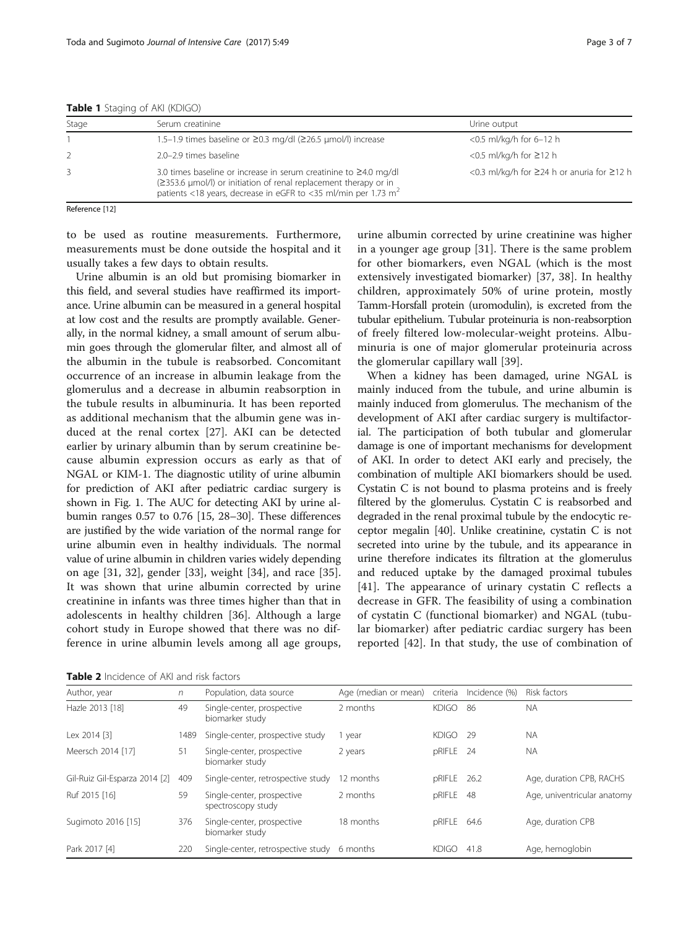| Stage | Serum creatinine                                                                                                                                                                                                         | Urine output<br>$<$ 0.5 ml/kg/h for 6–12 h |  |  |
|-------|--------------------------------------------------------------------------------------------------------------------------------------------------------------------------------------------------------------------------|--------------------------------------------|--|--|
|       | 1.5-1.9 times baseline or ≥0.3 mg/dl (≥26.5 µmol/l) increase                                                                                                                                                             |                                            |  |  |
|       | 2.0-2.9 times baseline                                                                                                                                                                                                   | <0.5 ml/kg/h for $\geq$ 12 h               |  |  |
|       | 3.0 times baseline or increase in serum creatinine to $\geq$ 4.0 mg/dl<br>(≥353.6 µmol/l) or initiation of renal replacement therapy or in<br>patients <18 years, decrease in eGFR to <35 ml/min per 1.73 m <sup>2</sup> | <0.3 ml/kg/h for ≥24 h or anuria for ≥12 h |  |  |

<span id="page-2-0"></span>Table 1 Staging of AKI (KDIGO)

Reference [[12\]](#page-5-0)

to be used as routine measurements. Furthermore, measurements must be done outside the hospital and it usually takes a few days to obtain results.

Urine albumin is an old but promising biomarker in this field, and several studies have reaffirmed its importance. Urine albumin can be measured in a general hospital at low cost and the results are promptly available. Generally, in the normal kidney, a small amount of serum albumin goes through the glomerular filter, and almost all of the albumin in the tubule is reabsorbed. Concomitant occurrence of an increase in albumin leakage from the glomerulus and a decrease in albumin reabsorption in the tubule results in albuminuria. It has been reported as additional mechanism that the albumin gene was induced at the renal cortex [\[27](#page-5-0)]. AKI can be detected earlier by urinary albumin than by serum creatinine because albumin expression occurs as early as that of NGAL or KIM-1. The diagnostic utility of urine albumin for prediction of AKI after pediatric cardiac surgery is shown in Fig. [1.](#page-3-0) The AUC for detecting AKI by urine albumin ranges 0.57 to 0.76 [[15, 28](#page-5-0)–[30](#page-5-0)]. These differences are justified by the wide variation of the normal range for urine albumin even in healthy individuals. The normal value of urine albumin in children varies widely depending on age [\[31](#page-5-0), [32\]](#page-6-0), gender [[33\]](#page-6-0), weight [[34\]](#page-6-0), and race [\[35](#page-6-0)]. It was shown that urine albumin corrected by urine creatinine in infants was three times higher than that in adolescents in healthy children [[36\]](#page-6-0). Although a large cohort study in Europe showed that there was no difference in urine albumin levels among all age groups,

Table 2 Incidence of AKI and risk factors

urine albumin corrected by urine creatinine was higher in a younger age group [[31\]](#page-5-0). There is the same problem for other biomarkers, even NGAL (which is the most extensively investigated biomarker) [\[37](#page-6-0), [38](#page-6-0)]. In healthy children, approximately 50% of urine protein, mostly Tamm-Horsfall protein (uromodulin), is excreted from the tubular epithelium. Tubular proteinuria is non-reabsorption of freely filtered low-molecular-weight proteins. Albuminuria is one of major glomerular proteinuria across the glomerular capillary wall [[39](#page-6-0)].

When a kidney has been damaged, urine NGAL is mainly induced from the tubule, and urine albumin is mainly induced from glomerulus. The mechanism of the development of AKI after cardiac surgery is multifactorial. The participation of both tubular and glomerular damage is one of important mechanisms for development of AKI. In order to detect AKI early and precisely, the combination of multiple AKI biomarkers should be used. Cystatin C is not bound to plasma proteins and is freely filtered by the glomerulus. Cystatin C is reabsorbed and degraded in the renal proximal tubule by the endocytic receptor megalin [\[40\]](#page-6-0). Unlike creatinine, cystatin C is not secreted into urine by the tubule, and its appearance in urine therefore indicates its filtration at the glomerulus and reduced uptake by the damaged proximal tubules [[41\]](#page-6-0). The appearance of urinary cystatin C reflects a decrease in GFR. The feasibility of using a combination of cystatin C (functional biomarker) and NGAL (tubular biomarker) after pediatric cardiac surgery has been reported [\[42](#page-6-0)]. In that study, the use of combination of

| Author, year                  | n    | Population, data source                          | Age (median or mean) | criteria     | Incidence (%) | Risk factors                |
|-------------------------------|------|--------------------------------------------------|----------------------|--------------|---------------|-----------------------------|
| Hazle 2013 [18]               | 49   | Single-center, prospective<br>biomarker study    | 2 months             | <b>KDIGO</b> | -86           | <b>NA</b>                   |
| Lex 2014 [3]                  | 1489 | Single-center, prospective study                 | year                 | <b>KDIGO</b> | - 29          | <b>NA</b>                   |
| Meersch 2014 [17]             | 51   | Single-center, prospective<br>biomarker study    | 2 years              | pRIFLE 24    |               | <b>NA</b>                   |
| Gil-Ruiz Gil-Esparza 2014 [2] | 409  | Single-center, retrospective study               | 12 months            | pRIFLE 26.2  |               | Age, duration CPB, RACHS    |
| Ruf 2015 [16]                 | 59   | Single-center, prospective<br>spectroscopy study | 2 months             | pRIFLE       | 48            | Age, univentricular anatomy |
| Sugimoto 2016 [15]            | 376  | Single-center, prospective<br>biomarker study    | 18 months            | pRIFLE 64.6  |               | Age, duration CPB           |
| Park 2017 [4]                 | 220  | Single-center, retrospective study               | 6 months             | <b>KDIGO</b> | 41.8          | Age, hemoglobin             |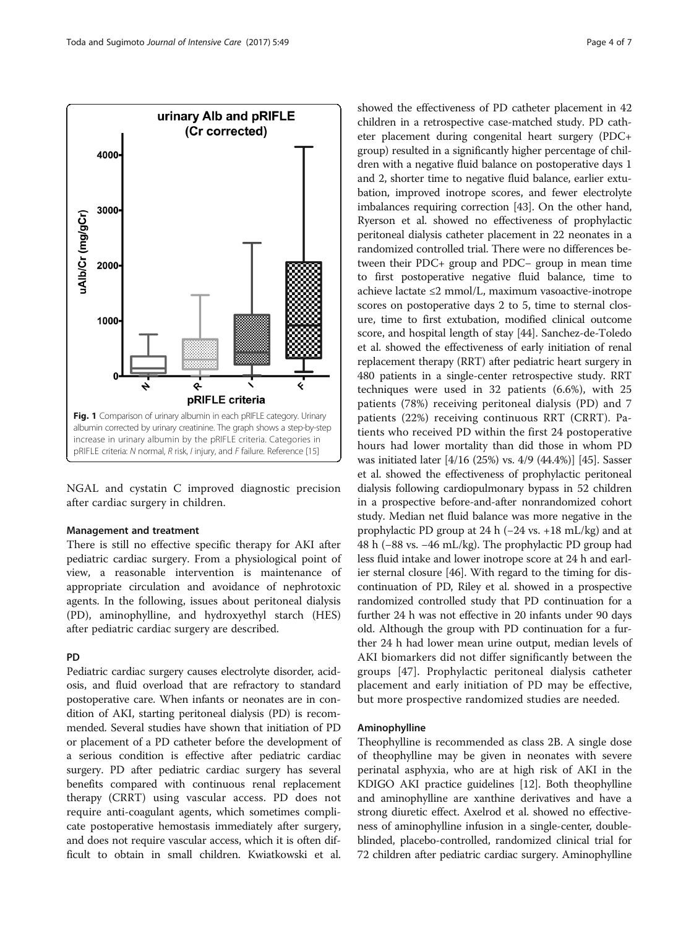<span id="page-3-0"></span>

NGAL and cystatin C improved diagnostic precision after cardiac surgery in children.

### Management and treatment

There is still no effective specific therapy for AKI after pediatric cardiac surgery. From a physiological point of view, a reasonable intervention is maintenance of appropriate circulation and avoidance of nephrotoxic agents. In the following, issues about peritoneal dialysis (PD), aminophylline, and hydroxyethyl starch (HES) after pediatric cardiac surgery are described.

## PD

Pediatric cardiac surgery causes electrolyte disorder, acidosis, and fluid overload that are refractory to standard postoperative care. When infants or neonates are in condition of AKI, starting peritoneal dialysis (PD) is recommended. Several studies have shown that initiation of PD or placement of a PD catheter before the development of a serious condition is effective after pediatric cardiac surgery. PD after pediatric cardiac surgery has several benefits compared with continuous renal replacement therapy (CRRT) using vascular access. PD does not require anti-coagulant agents, which sometimes complicate postoperative hemostasis immediately after surgery, and does not require vascular access, which it is often difficult to obtain in small children. Kwiatkowski et al. showed the effectiveness of PD catheter placement in 42 children in a retrospective case-matched study. PD catheter placement during congenital heart surgery (PDC+ group) resulted in a significantly higher percentage of children with a negative fluid balance on postoperative days 1 and 2, shorter time to negative fluid balance, earlier extubation, improved inotrope scores, and fewer electrolyte imbalances requiring correction [[43](#page-6-0)]. On the other hand, Ryerson et al. showed no effectiveness of prophylactic peritoneal dialysis catheter placement in 22 neonates in a randomized controlled trial. There were no differences between their PDC+ group and PDC− group in mean time to first postoperative negative fluid balance, time to achieve lactate ≤2 mmol/L, maximum vasoactive-inotrope scores on postoperative days 2 to 5, time to sternal closure, time to first extubation, modified clinical outcome score, and hospital length of stay [[44](#page-6-0)]. Sanchez-de-Toledo et al. showed the effectiveness of early initiation of renal replacement therapy (RRT) after pediatric heart surgery in 480 patients in a single-center retrospective study. RRT techniques were used in 32 patients (6.6%), with 25 patients (78%) receiving peritoneal dialysis (PD) and 7 patients (22%) receiving continuous RRT (CRRT). Patients who received PD within the first 24 postoperative hours had lower mortality than did those in whom PD was initiated later [4/16 (25%) vs. 4/9 (44.4%)] [\[45\]](#page-6-0). Sasser et al. showed the effectiveness of prophylactic peritoneal dialysis following cardiopulmonary bypass in 52 children in a prospective before-and-after nonrandomized cohort study. Median net fluid balance was more negative in the prophylactic PD group at 24 h (−24 vs. +18 mL/kg) and at 48 h (−88 vs. −46 mL/kg). The prophylactic PD group had less fluid intake and lower inotrope score at 24 h and earlier sternal closure [[46](#page-6-0)]. With regard to the timing for discontinuation of PD, Riley et al. showed in a prospective randomized controlled study that PD continuation for a further 24 h was not effective in 20 infants under 90 days old. Although the group with PD continuation for a further 24 h had lower mean urine output, median levels of AKI biomarkers did not differ significantly between the groups [\[47](#page-6-0)]. Prophylactic peritoneal dialysis catheter placement and early initiation of PD may be effective, but more prospective randomized studies are needed.

## Aminophylline

Theophylline is recommended as class 2B. A single dose of theophylline may be given in neonates with severe perinatal asphyxia, who are at high risk of AKI in the KDIGO AKI practice guidelines [\[12\]](#page-5-0). Both theophylline and aminophylline are xanthine derivatives and have a strong diuretic effect. Axelrod et al. showed no effectiveness of aminophylline infusion in a single-center, doubleblinded, placebo-controlled, randomized clinical trial for 72 children after pediatric cardiac surgery. Aminophylline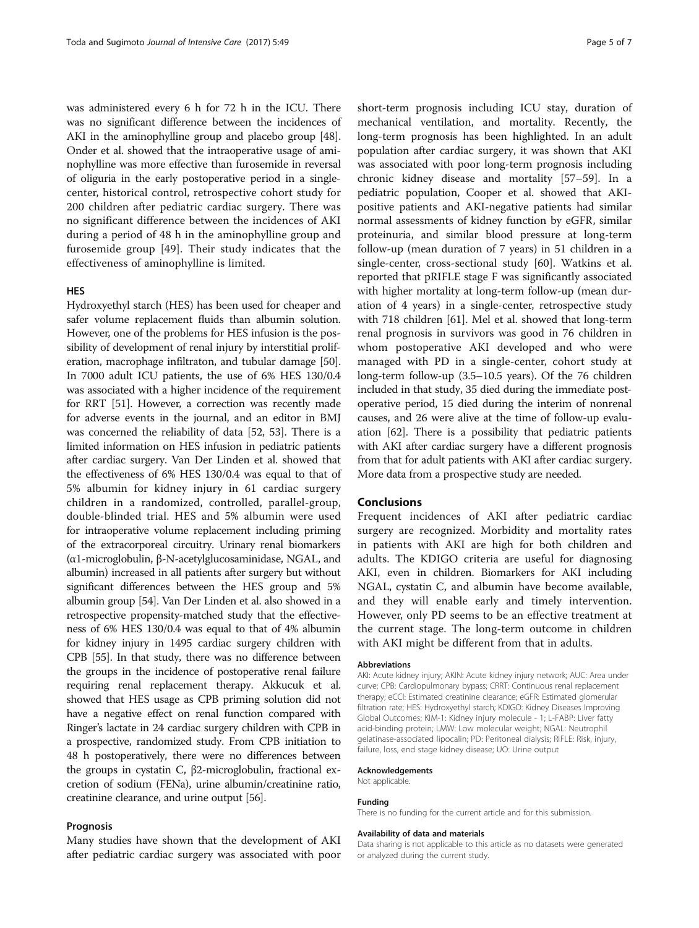was administered every 6 h for 72 h in the ICU. There was no significant difference between the incidences of AKI in the aminophylline group and placebo group [[48](#page-6-0)]. Onder et al. showed that the intraoperative usage of aminophylline was more effective than furosemide in reversal of oliguria in the early postoperative period in a singlecenter, historical control, retrospective cohort study for 200 children after pediatric cardiac surgery. There was no significant difference between the incidences of AKI during a period of 48 h in the aminophylline group and furosemide group [\[49](#page-6-0)]. Their study indicates that the effectiveness of aminophylline is limited.

## **HES**

Hydroxyethyl starch (HES) has been used for cheaper and safer volume replacement fluids than albumin solution. However, one of the problems for HES infusion is the possibility of development of renal injury by interstitial proliferation, macrophage infiltraton, and tubular damage [[50](#page-6-0)]. In 7000 adult ICU patients, the use of 6% HES 130/0.4 was associated with a higher incidence of the requirement for RRT [\[51\]](#page-6-0). However, a correction was recently made for adverse events in the journal, and an editor in BMJ was concerned the reliability of data [\[52, 53](#page-6-0)]. There is a limited information on HES infusion in pediatric patients after cardiac surgery. Van Der Linden et al. showed that the effectiveness of 6% HES 130/0.4 was equal to that of 5% albumin for kidney injury in 61 cardiac surgery children in a randomized, controlled, parallel-group, double-blinded trial. HES and 5% albumin were used for intraoperative volume replacement including priming of the extracorporeal circuitry. Urinary renal biomarkers (α1-microglobulin, β-N-acetylglucosaminidase, NGAL, and albumin) increased in all patients after surgery but without significant differences between the HES group and 5% albumin group [\[54](#page-6-0)]. Van Der Linden et al. also showed in a retrospective propensity-matched study that the effectiveness of 6% HES 130/0.4 was equal to that of 4% albumin for kidney injury in 1495 cardiac surgery children with CPB [\[55\]](#page-6-0). In that study, there was no difference between the groups in the incidence of postoperative renal failure requiring renal replacement therapy. Akkucuk et al. showed that HES usage as CPB priming solution did not have a negative effect on renal function compared with Ringer's lactate in 24 cardiac surgery children with CPB in a prospective, randomized study. From CPB initiation to 48 h postoperatively, there were no differences between the groups in cystatin C, β2-microglobulin, fractional excretion of sodium (FENa), urine albumin/creatinine ratio, creatinine clearance, and urine output [\[56\]](#page-6-0).

## Prognosis

Many studies have shown that the development of AKI after pediatric cardiac surgery was associated with poor

short-term prognosis including ICU stay, duration of mechanical ventilation, and mortality. Recently, the long-term prognosis has been highlighted. In an adult population after cardiac surgery, it was shown that AKI was associated with poor long-term prognosis including chronic kidney disease and mortality [[57](#page-6-0)–[59](#page-6-0)]. In a pediatric population, Cooper et al. showed that AKIpositive patients and AKI-negative patients had similar normal assessments of kidney function by eGFR, similar proteinuria, and similar blood pressure at long-term follow-up (mean duration of 7 years) in 51 children in a single-center, cross-sectional study [\[60](#page-6-0)]. Watkins et al. reported that pRIFLE stage F was significantly associated with higher mortality at long-term follow-up (mean duration of 4 years) in a single-center, retrospective study with 718 children [[61\]](#page-6-0). Mel et al. showed that long-term renal prognosis in survivors was good in 76 children in whom postoperative AKI developed and who were managed with PD in a single-center, cohort study at long-term follow-up (3.5–10.5 years). Of the 76 children included in that study, 35 died during the immediate postoperative period, 15 died during the interim of nonrenal causes, and 26 were alive at the time of follow-up evaluation [\[62\]](#page-6-0). There is a possibility that pediatric patients with AKI after cardiac surgery have a different prognosis from that for adult patients with AKI after cardiac surgery. More data from a prospective study are needed.

## Conclusions

Frequent incidences of AKI after pediatric cardiac surgery are recognized. Morbidity and mortality rates in patients with AKI are high for both children and adults. The KDIGO criteria are useful for diagnosing AKI, even in children. Biomarkers for AKI including NGAL, cystatin C, and albumin have become available, and they will enable early and timely intervention. However, only PD seems to be an effective treatment at the current stage. The long-term outcome in children with AKI might be different from that in adults.

#### Abbreviations

AKI: Acute kidney injury; AKIN: Acute kidney injury network; AUC: Area under curve; CPB: Cardiopulmonary bypass; CRRT: Continuous renal replacement therapy; eCCl: Estimated creatinine clearance; eGFR: Estimated glomerular filtration rate; HES: Hydroxyethyl starch; KDIGO: Kidney Diseases Improving Global Outcomes; KIM-1: Kidney injury molecule - 1; L-FABP: Liver fatty acid-binding protein; LMW: Low molecular weight; NGAL: Neutrophil gelatinase-associated lipocalin; PD: Peritoneal dialysis; RIFLE: Risk, injury, failure, loss, end stage kidney disease; UO: Urine output

### Acknowledgements

Not applicable.

#### Funding

There is no funding for the current article and for this submission.

#### Availability of data and materials

Data sharing is not applicable to this article as no datasets were generated or analyzed during the current study.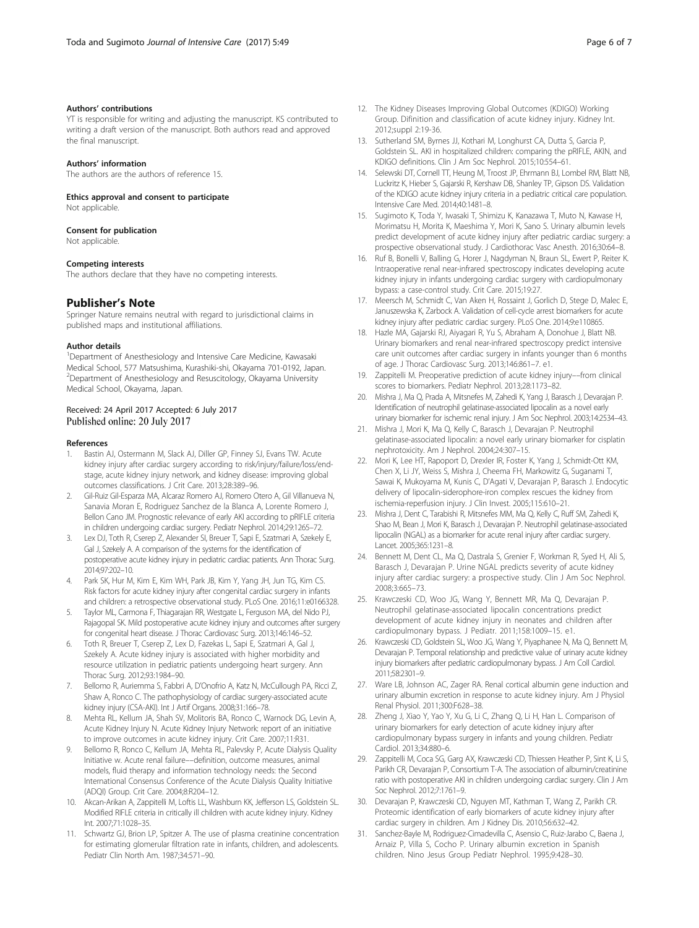### <span id="page-5-0"></span>Authors' contributions

YT is responsible for writing and adjusting the manuscript. KS contributed to writing a draft version of the manuscript. Both authors read and approved the final manuscript.

#### Authors' information

The authors are the authors of reference 15.

Ethics approval and consent to participate

Not applicable.

## Consent for publication

Not applicable.

#### Competing interests

The authors declare that they have no competing interests.

## Publisher's Note

Springer Nature remains neutral with regard to jurisdictional claims in published maps and institutional affiliations.

#### Author details

<sup>1</sup>Department of Anesthesiology and Intensive Care Medicine, Kawasaki Medical School, 577 Matsushima, Kurashiki-shi, Okayama 701-0192, Japan. 2 Department of Anesthesiology and Resuscitology, Okayama University Medical School, Okayama, Japan.

## Received: 24 April 2017 Accepted: 6 July 2017 Published online: 20 July 2017

#### References

- 1. Bastin AJ, Ostermann M, Slack AJ, Diller GP, Finney SJ, Evans TW. Acute kidney injury after cardiac surgery according to risk/injury/failure/loss/endstage, acute kidney injury network, and kidney disease: improving global outcomes classifications. J Crit Care. 2013;28:389–96.
- 2. Gil-Ruiz Gil-Esparza MA, Alcaraz Romero AJ, Romero Otero A, Gil Villanueva N, Sanavia Moran E, Rodriguez Sanchez de la Blanca A, Lorente Romero J, Bellon Cano JM. Prognostic relevance of early AKI according to pRIFLE criteria in children undergoing cardiac surgery. Pediatr Nephrol. 2014;29:1265–72.
- Lex DJ, Toth R, Cserep Z, Alexander SI, Breuer T, Sapi E, Szatmari A, Szekely E, Gal J, Szekely A. A comparison of the systems for the identification of postoperative acute kidney injury in pediatric cardiac patients. Ann Thorac Surg. 2014;97:202–10.
- 4. Park SK, Hur M, Kim E, Kim WH, Park JB, Kim Y, Yang JH, Jun TG, Kim CS. Risk factors for acute kidney injury after congenital cardiac surgery in infants and children: a retrospective observational study. PLoS One. 2016;11:e0166328.
- 5. Taylor ML, Carmona F, Thiagarajan RR, Westgate L, Ferguson MA, del Nido PJ, Rajagopal SK. Mild postoperative acute kidney injury and outcomes after surgery for congenital heart disease. J Thorac Cardiovasc Surg. 2013;146:146–52.
- 6. Toth R, Breuer T, Cserep Z, Lex D, Fazekas L, Sapi E, Szatmari A, Gal J, Szekely A. Acute kidney injury is associated with higher morbidity and resource utilization in pediatric patients undergoing heart surgery. Ann Thorac Surg. 2012;93:1984–90.
- 7. Bellomo R, Auriemma S, Fabbri A, D'Onofrio A, Katz N, McCullough PA, Ricci Z, Shaw A, Ronco C. The pathophysiology of cardiac surgery-associated acute kidney injury (CSA-AKI). Int J Artif Organs. 2008;31:166–78.
- 8. Mehta RL, Kellum JA, Shah SV, Molitoris BA, Ronco C, Warnock DG, Levin A, Acute Kidney Injury N. Acute Kidney Injury Network: report of an initiative to improve outcomes in acute kidney injury. Crit Care. 2007;11:R31.
- Bellomo R, Ronco C, Kellum JA, Mehta RL, Palevsky P, Acute Dialysis Quality Initiative w. Acute renal failure––definition, outcome measures, animal models, fluid therapy and information technology needs: the Second International Consensus Conference of the Acute Dialysis Quality Initiative (ADQI) Group. Crit Care. 2004;8:R204–12.
- 10. Akcan-Arikan A, Zappitelli M, Loftis LL, Washburn KK, Jefferson LS, Goldstein SL. Modified RIFLE criteria in critically ill children with acute kidney injury. Kidney Int. 2007;71:1028–35.
- 11. Schwartz GJ, Brion LP, Spitzer A. The use of plasma creatinine concentration for estimating glomerular filtration rate in infants, children, and adolescents. Pediatr Clin North Am. 1987;34:571–90.
- 12. The Kidney Diseases Improving Global Outcomes (KDIGO) Working Group. Difinition and classification of acute kidney injury. Kidney Int. 2012;suppl 2:19-36.
- 13. Sutherland SM, Byrnes JJ, Kothari M, Longhurst CA, Dutta S, Garcia P, Goldstein SL. AKI in hospitalized children: comparing the pRIFLE, AKIN, and KDIGO definitions. Clin J Am Soc Nephrol. 2015;10:554–61.
- 14. Selewski DT, Cornell TT, Heung M, Troost JP, Ehrmann BJ, Lombel RM, Blatt NB, Luckritz K, Hieber S, Gajarski R, Kershaw DB, Shanley TP, Gipson DS. Validation of the KDIGO acute kidney injury criteria in a pediatric critical care population. Intensive Care Med. 2014;40:1481–8.
- 15. Sugimoto K, Toda Y, Iwasaki T, Shimizu K, Kanazawa T, Muto N, Kawase H, Morimatsu H, Morita K, Maeshima Y, Mori K, Sano S. Urinary albumin levels predict development of acute kidney injury after pediatric cardiac surgery: a prospective observational study. J Cardiothorac Vasc Anesth. 2016;30:64–8.
- 16. Ruf B, Bonelli V, Balling G, Horer J, Nagdyman N, Braun SL, Ewert P, Reiter K. Intraoperative renal near-infrared spectroscopy indicates developing acute kidney injury in infants undergoing cardiac surgery with cardiopulmonary bypass: a case-control study. Crit Care. 2015;19:27.
- 17. Meersch M, Schmidt C, Van Aken H, Rossaint J, Gorlich D, Stege D, Malec E, Januszewska K, Zarbock A. Validation of cell-cycle arrest biomarkers for acute kidney injury after pediatric cardiac surgery. PLoS One. 2014;9:e110865.
- 18. Hazle MA, Gajarski RJ, Aiyagari R, Yu S, Abraham A, Donohue J, Blatt NB. Urinary biomarkers and renal near-infrared spectroscopy predict intensive care unit outcomes after cardiac surgery in infants younger than 6 months of age. J Thorac Cardiovasc Surg. 2013;146:861–7. e1.
- 19. Zappitelli M. Preoperative prediction of acute kidney injury––from clinical scores to biomarkers. Pediatr Nephrol. 2013;28:1173–82.
- 20. Mishra J, Ma Q, Prada A, Mitsnefes M, Zahedi K, Yang J, Barasch J, Devarajan P. Identification of neutrophil gelatinase-associated lipocalin as a novel early urinary biomarker for ischemic renal injury. J Am Soc Nephrol. 2003;14:2534–43.
- 21. Mishra J, Mori K, Ma Q, Kelly C, Barasch J, Devarajan P. Neutrophil gelatinase-associated lipocalin: a novel early urinary biomarker for cisplatin nephrotoxicity. Am J Nephrol. 2004;24:307–15.
- 22. Mori K, Lee HT, Rapoport D, Drexler IR, Foster K, Yang J, Schmidt-Ott KM, Chen X, Li JY, Weiss S, Mishra J, Cheema FH, Markowitz G, Suganami T, Sawai K, Mukoyama M, Kunis C, D'Agati V, Devarajan P, Barasch J. Endocytic delivery of lipocalin-siderophore-iron complex rescues the kidney from ischemia-reperfusion injury. J Clin Invest. 2005;115:610–21.
- 23. Mishra J, Dent C, Tarabishi R, Mitsnefes MM, Ma Q, Kelly C, Ruff SM, Zahedi K, Shao M, Bean J, Mori K, Barasch J, Devarajan P. Neutrophil gelatinase-associated lipocalin (NGAL) as a biomarker for acute renal injury after cardiac surgery. Lancet. 2005;365:1231–8.
- 24. Bennett M, Dent CL, Ma Q, Dastrala S, Grenier F, Workman R, Syed H, Ali S, Barasch J, Devarajan P. Urine NGAL predicts severity of acute kidney injury after cardiac surgery: a prospective study. Clin J Am Soc Nephrol. 2008;3:665–73.
- 25. Krawczeski CD, Woo JG, Wang Y, Bennett MR, Ma Q, Devarajan P. Neutrophil gelatinase-associated lipocalin concentrations predict development of acute kidney injury in neonates and children after cardiopulmonary bypass. J Pediatr. 2011;158:1009–15. e1.
- 26. Krawczeski CD, Goldstein SL, Woo JG, Wang Y, Piyaphanee N, Ma Q, Bennett M, Devarajan P. Temporal relationship and predictive value of urinary acute kidney injury biomarkers after pediatric cardiopulmonary bypass. J Am Coll Cardiol. 2011;58:2301–9.
- 27. Ware LB, Johnson AC, Zager RA. Renal cortical albumin gene induction and urinary albumin excretion in response to acute kidney injury. Am J Physiol Renal Physiol. 2011;300:F628–38.
- 28. Zheng J, Xiao Y, Yao Y, Xu G, Li C, Zhang Q, Li H, Han L. Comparison of urinary biomarkers for early detection of acute kidney injury after cardiopulmonary bypass surgery in infants and young children. Pediatr Cardiol. 2013;34:880–6.
- 29. Zappitelli M, Coca SG, Garg AX, Krawczeski CD, Thiessen Heather P, Sint K, Li S, Parikh CR, Devarajan P, Consortium T-A. The association of albumin/creatinine ratio with postoperative AKI in children undergoing cardiac surgery. Clin J Am Soc Nephrol. 2012;7:1761–9.
- 30. Devarajan P, Krawczeski CD, Nguyen MT, Kathman T, Wang Z, Parikh CR. Proteomic identification of early biomarkers of acute kidney injury after cardiac surgery in children. Am J Kidney Dis. 2010;56:632–42.
- 31. Sanchez-Bayle M, Rodriguez-Cimadevilla C, Asensio C, Ruiz-Jarabo C, Baena J, Arnaiz P, Villa S, Cocho P. Urinary albumin excretion in Spanish children. Nino Jesus Group Pediatr Nephrol. 1995;9:428–30.